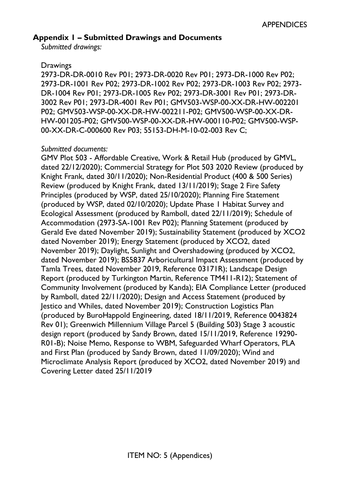#### **Appendix 1 – Submitted Drawings and Documents**

*Submitted drawings:* 

#### **Drawings**

2973-DR-DR-0010 Rev P01; 2973-DR-0020 Rev P01; 2973-DR-1000 Rev P02; 2973-DR-1001 Rev P02; 2973-DR-1002 Rev P02; 2973-DR-1003 Rev P02; 2973- DR-1004 Rev P01; 2973-DR-1005 Rev P02; 2973-DR-3001 Rev P01; 2973-DR-3002 Rev P01; 2973-DR-4001 Rev P01; GMV503-WSP-00-XX-DR-HW-002201 P02; GMV503-WSP-00-XX-DR-HW-002211-P02; GMV500-WSP-00-XX-DR-HW-001205-P02; GMV500-WSP-00-XX-DR-HW-000110-P02; GMV500-WSP-00-XX-DR-C-000600 Rev P03; 55153-DH-M-10-02-003 Rev C;

#### *Submitted documents:*

GMV Plot 503 - Affordable Creative, Work & Retail Hub (produced by GMVL, dated 22/12/2020); Commercial Strategy for Plot 503 2020 Review (produced by Knight Frank, dated 30/11/2020); Non-Residential Product (400 & 500 Series) Review (produced by Knight Frank, dated 13/11/2019); Stage 2 Fire Safety Principles (produced by WSP, dated 25/10/2020); Planning Fire Statement (produced by WSP, dated 02/10/2020); Update Phase 1 Habitat Survey and Ecological Assessment (produced by Ramboll, dated 22/11/2019); Schedule of Accommodation (2973-SA-1001 Rev P02); Planning Statement (produced by Gerald Eve dated November 2019); Sustainability Statement (produced by XCO2 dated November 2019); Energy Statement (produced by XCO2, dated November 2019); Daylight, Sunlight and Overshadowing (produced by XCO2, dated November 2019); BS5837 Arboricultural Impact Assessment (produced by Tamla Trees, dated November 2019, Reference 03171R); Landscape Design Report (produced by Turkington Martin, Reference TM411-R12); Statement of Community Involvement (produced by Kanda); EIA Compliance Letter (produced by Ramboll, dated 22/11/2020); Design and Access Statement (produced by Jestico and Whiles, dated November 2019); Construction Logistics Plan (produced by BuroHappold Engineering, dated 18/11/2019, Reference 0043824 Rev 01); Greenwich Millennium Village Parcel 5 (Building 503) Stage 3 acoustic design report (produced by Sandy Brown, dated 15/11/2019, Reference 19290- R01-B); Noise Memo, Response to WBM, Safeguarded Wharf Operators, PLA and First Plan (produced by Sandy Brown, dated 11/09/2020); Wind and Microclimate Analysis Report (produced by XCO2, dated November 2019) and Covering Letter dated 25/11/2019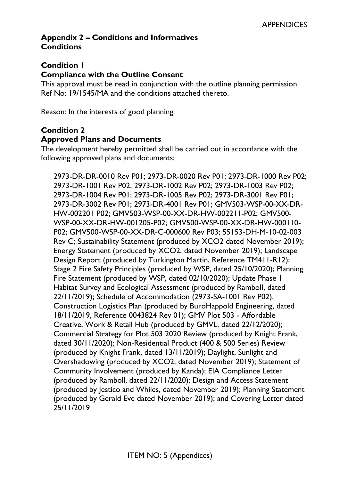## **Appendix 2 – Conditions and Informatives Conditions**

#### **Condition 1**

#### **Compliance with the Outline Consent**

This approval must be read in conjunction with the outline planning permission Ref No: 19/1545/MA and the conditions attached thereto.

Reason: In the interests of good planning.

#### **Condition 2**

#### **Approved Plans and Documents**

The development hereby permitted shall be carried out in accordance with the following approved plans and documents:

2973-DR-DR-0010 Rev P01; 2973-DR-0020 Rev P01; 2973-DR-1000 Rev P02; 2973-DR-1001 Rev P02; 2973-DR-1002 Rev P02; 2973-DR-1003 Rev P02; 2973-DR-1004 Rev P01; 2973-DR-1005 Rev P02; 2973-DR-3001 Rev P01; 2973-DR-3002 Rev P01; 2973-DR-4001 Rev P01; GMV503-WSP-00-XX-DR-HW-002201 P02; GMV503-WSP-00-XX-DR-HW-002211-P02; GMV500- WSP-00-XX-DR-HW-001205-P02; GMV500-WSP-00-XX-DR-HW-000110- P02; GMV500-WSP-00-XX-DR-C-000600 Rev P03; 55153-DH-M-10-02-003 Rev C; Sustainability Statement (produced by XCO2 dated November 2019); Energy Statement (produced by XCO2, dated November 2019); Landscape Design Report (produced by Turkington Martin, Reference TM411-R12); Stage 2 Fire Safety Principles (produced by WSP, dated 25/10/2020); Planning Fire Statement (produced by WSP, dated 02/10/2020); Update Phase 1 Habitat Survey and Ecological Assessment (produced by Ramboll, dated 22/11/2019); Schedule of Accommodation (2973-SA-1001 Rev P02); Construction Logistics Plan (produced by BuroHappold Engineering, dated 18/11/2019, Reference 0043824 Rev 01); GMV Plot 503 - Affordable Creative, Work & Retail Hub (produced by GMVL, dated 22/12/2020); Commercial Strategy for Plot 503 2020 Review (produced by Knight Frank, dated 30/11/2020); Non-Residential Product (400 & 500 Series) Review (produced by Knight Frank, dated 13/11/2019); Daylight, Sunlight and Overshadowing (produced by XCO2, dated November 2019); Statement of Community Involvement (produced by Kanda); EIA Compliance Letter (produced by Ramboll, dated 22/11/2020); Design and Access Statement (produced by Jestico and Whiles, dated November 2019); Planning Statement (produced by Gerald Eve dated November 2019); and Covering Letter dated 25/11/2019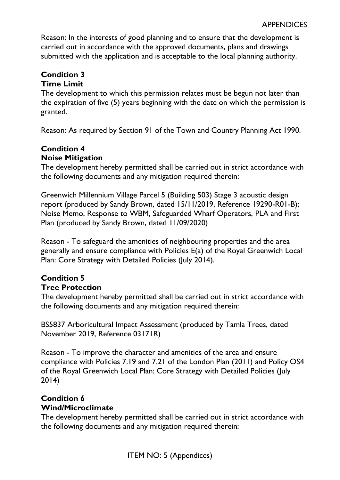Reason: In the interests of good planning and to ensure that the development is carried out in accordance with the approved documents, plans and drawings submitted with the application and is acceptable to the local planning authority.

#### **Condition 3 Time Limit**

The development to which this permission relates must be begun not later than the expiration of five (5) years beginning with the date on which the permission is granted.

Reason: As required by Section 91 of the Town and Country Planning Act 1990.

## **Condition 4 Noise Mitigation**

The development hereby permitted shall be carried out in strict accordance with the following documents and any mitigation required therein:

Greenwich Millennium Village Parcel 5 (Building 503) Stage 3 acoustic design report (produced by Sandy Brown, dated 15/11/2019, Reference 19290-R01-B); Noise Memo, Response to WBM, Safeguarded Wharf Operators, PLA and First Plan (produced by Sandy Brown, dated 11/09/2020)

Reason - To safeguard the amenities of neighbouring properties and the area generally and ensure compliance with Policies E(a) of the Royal Greenwich Local Plan: Core Strategy with Detailed Policies (July 2014).

# **Condition 5**

#### **Tree Protection**

The development hereby permitted shall be carried out in strict accordance with the following documents and any mitigation required therein:

BS5837 Arboricultural Impact Assessment (produced by Tamla Trees, dated November 2019, Reference 03171R)

Reason - To improve the character and amenities of the area and ensure compliance with Policies 7.19 and 7.21 of the London Plan (2011) and Policy OS4 of the Royal Greenwich Local Plan: Core Strategy with Detailed Policies (July 2014)

#### **Condition 6 Wind/Microclimate**

The development hereby permitted shall be carried out in strict accordance with the following documents and any mitigation required therein: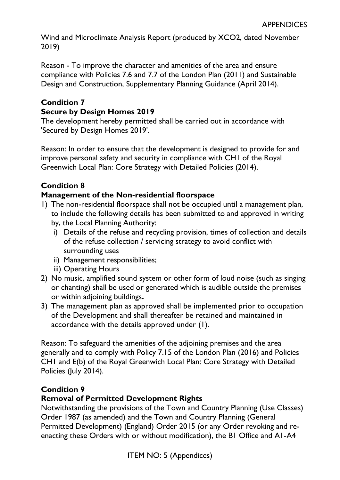Wind and Microclimate Analysis Report (produced by XCO2, dated November 2019)

Reason - To improve the character and amenities of the area and ensure compliance with Policies 7.6 and 7.7 of the London Plan (2011) and Sustainable Design and Construction, Supplementary Planning Guidance (April 2014).

#### **Condition 7 Secure by Design Homes 2019**

The development hereby permitted shall be carried out in accordance with 'Secured by Design Homes 2019'.

Reason: In order to ensure that the development is designed to provide for and improve personal safety and security in compliance with CH1 of the Royal Greenwich Local Plan: Core Strategy with Detailed Policies (2014).

## **Condition 8**

## **Management of the Non-residential floorspace**

- 1) The non-residential floorspace shall not be occupied until a management plan, to include the following details has been submitted to and approved in writing by, the Local Planning Authority:
	- i) Details of the refuse and recycling provision, times of collection and details of the refuse collection / servicing strategy to avoid conflict with surrounding uses
	- ii) Management responsibilities;
	- iii) Operating Hours
- 2) No music, amplified sound system or other form of loud noise (such as singing or chanting) shall be used or generated which is audible outside the premises or within adjoining buildings**.**
- 3) The management plan as approved shall be implemented prior to occupation of the Development and shall thereafter be retained and maintained in accordance with the details approved under (1).

Reason: To safeguard the amenities of the adjoining premises and the area generally and to comply with Policy 7.15 of the London Plan (2016) and Policies CH1 and E(b) of the Royal Greenwich Local Plan: Core Strategy with Detailed Policies (July 2014).

## **Condition 9**

## **Removal of Permitted Development Rights**

Notwithstanding the provisions of the Town and Country Planning (Use Classes) Order 1987 (as amended) and the Town and Country Planning (General Permitted Development) (England) Order 2015 (or any Order revoking and reenacting these Orders with or without modification), the B1 Office and A1-A4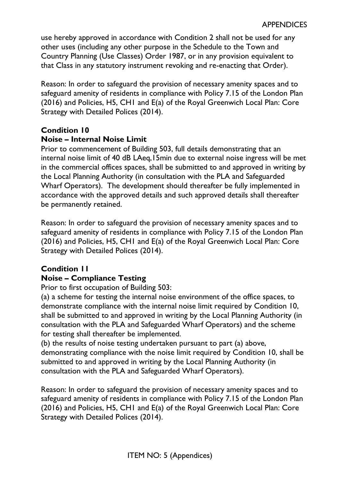use hereby approved in accordance with Condition 2 shall not be used for any other uses (including any other purpose in the Schedule to the Town and Country Planning (Use Classes) Order 1987, or in any provision equivalent to that Class in any statutory instrument revoking and re-enacting that Order).

Reason: In order to safeguard the provision of necessary amenity spaces and to safeguard amenity of residents in compliance with Policy 7.15 of the London Plan (2016) and Policies, H5, CH1 and E(a) of the Royal Greenwich Local Plan: Core Strategy with Detailed Polices (2014).

# **Condition 10**

#### **Noise – Internal Noise Limit**

Prior to commencement of Building 503, full details demonstrating that an internal noise limit of 40 dB LAeq,15min due to external noise ingress will be met in the commercial offices spaces, shall be submitted to and approved in writing by the Local Planning Authority (in consultation with the PLA and Safeguarded Wharf Operators). The development should thereafter be fully implemented in accordance with the approved details and such approved details shall thereafter be permanently retained.

Reason: In order to safeguard the provision of necessary amenity spaces and to safeguard amenity of residents in compliance with Policy 7.15 of the London Plan (2016) and Policies, H5, CH1 and E(a) of the Royal Greenwich Local Plan: Core Strategy with Detailed Polices (2014).

## **Condition 11 Noise – Compliance Testing**

Prior to first occupation of Building 503:

(a) a scheme for testing the internal noise environment of the office spaces, to demonstrate compliance with the internal noise limit required by Condition 10, shall be submitted to and approved in writing by the Local Planning Authority (in consultation with the PLA and Safeguarded Wharf Operators) and the scheme for testing shall thereafter be implemented.

(b) the results of noise testing undertaken pursuant to part (a) above, demonstrating compliance with the noise limit required by Condition 10, shall be submitted to and approved in writing by the Local Planning Authority (in consultation with the PLA and Safeguarded Wharf Operators).

Reason: In order to safeguard the provision of necessary amenity spaces and to safeguard amenity of residents in compliance with Policy 7.15 of the London Plan (2016) and Policies, H5, CH1 and E(a) of the Royal Greenwich Local Plan: Core Strategy with Detailed Polices (2014).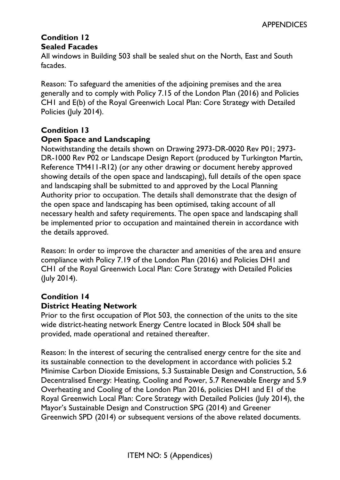## **Condition 12 Sealed Facades**

All windows in Building 503 shall be sealed shut on the North, East and South facades.

Reason: To safeguard the amenities of the adjoining premises and the area generally and to comply with Policy 7.15 of the London Plan (2016) and Policies CH1 and E(b) of the Royal Greenwich Local Plan: Core Strategy with Detailed Policies (July 2014).

## **Condition 13**

#### **Open Space and Landscaping**

Notwithstanding the details shown on Drawing 2973-DR-0020 Rev P01; 2973- DR-1000 Rev P02 or Landscape Design Report (produced by Turkington Martin, Reference TM411-R12) (or any other drawing or document hereby approved showing details of the open space and landscaping), full details of the open space and landscaping shall be submitted to and approved by the Local Planning Authority prior to occupation. The details shall demonstrate that the design of the open space and landscaping has been optimised, taking account of all necessary health and safety requirements. The open space and landscaping shall be implemented prior to occupation and maintained therein in accordance with the details approved.

Reason: In order to improve the character and amenities of the area and ensure compliance with Policy 7.19 of the London Plan (2016) and Policies DH1 and CH1 of the Royal Greenwich Local Plan: Core Strategy with Detailed Policies (July 2014).

#### **Condition 14 District Heating Network**

Prior to the first occupation of Plot 503, the connection of the units to the site wide district-heating network Energy Centre located in Block 504 shall be provided, made operational and retained thereafter.

Reason: In the interest of securing the centralised energy centre for the site and its sustainable connection to the development in accordance with policies 5.2 Minimise Carbon Dioxide Emissions, 5.3 Sustainable Design and Construction, 5.6 Decentralised Energy: Heating, Cooling and Power, 5.7 Renewable Energy and 5.9 Overheating and Cooling of the London Plan 2016, policies DH1 and E1 of the Royal Greenwich Local Plan: Core Strategy with Detailed Policies (July 2014), the Mayor's Sustainable Design and Construction SPG (2014) and Greener Greenwich SPD (2014) or subsequent versions of the above related documents.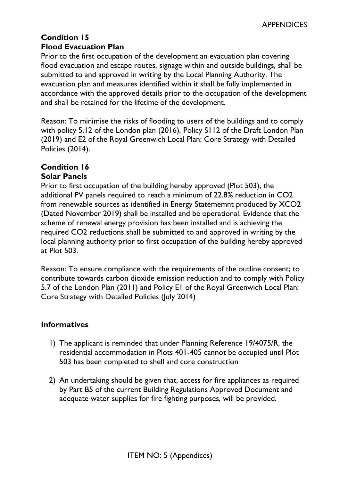## **Condition 15 Flood Evacuation Plan**

Prior to the first occupation of the development an evacuation plan covering flood evacuation and escape routes, signage within and outside buildings, shall be submitted to and approved in writing by the Local Planning Authority. The evacuation plan and measures identified within it shall be fully implemented in accordance with the approved details prior to the occupation of the development and shall be retained for the lifetime of the development.

Reason: To minimise the risks of flooding to users of the buildings and to comply with policy 5.12 of the London plan (2016), Policy S112 of the Draft London Plan (2019) and E2 of the Royal Greenwich Local Plan: Core Strategy with Detailed Policies (2014).

#### **Condition 16 Solar Panels**

Prior to first occupation of the building hereby approved (Plot 503), the additional PV panels required to reach a minimum of 22.8% reduction in CO2 from renewable sources as identified in Energy Statememnt produced by XCO2 (Dated November 2019) shall be installed and be operational. Evidence that the scheme of renewal energy provision has been installed and is achieving the required CO2 reductions shall be submitted to and approved in writing by the local planning authority prior to first occupation of the building hereby approved at Plot 503.

Reason: To ensure compliance with the requirements of the outline consent; to contribute towards carbon dioxide emission reduction and to comply with Policy 5.7 of the London Plan (2011) and Policy E1 of the Royal Greenwich Local Plan: Core Strategy with Detailed Policies (July 2014)

## **Informatives**

- 1) The applicant is reminded that under Planning Reference 19/4075/R, the residential accommodation in Plots 401-405 cannot be occupied until Plot 503 has been completed to shell and core construction
- 2) An undertaking should be given that, access for fire appliances as required by Part B5 of the current Building Regulations Approved Document and adequate water supplies for fire fighting purposes, will be provided.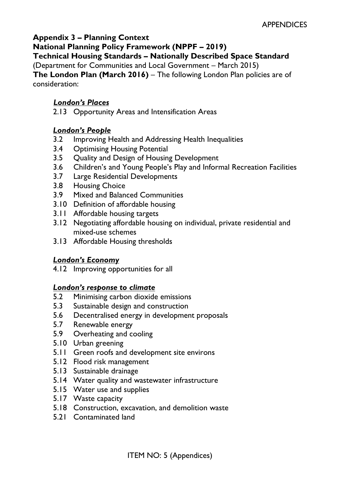## **Appendix 3 – Planning Context**

**National Planning Policy Framework (NPPF – 2019)** 

**Technical Housing Standards – Nationally Described Space Standard** 

(Department for Communities and Local Government – March 2015)

**The London Plan (March 2016)** – The following London Plan policies are of consideration:

## *London's Places*

2.13 Opportunity Areas and Intensification Areas

#### *London's People*

- 3.2 Improving Health and Addressing Health Inequalities
- 3.4 Optimising Housing Potential
- 3.5 Quality and Design of Housing Development
- 3.6 Children's and Young People's Play and Informal Recreation Facilities
- 3.7 Large Residential Developments
- 3.8 Housing Choice
- 3.9 Mixed and Balanced Communities
- 3.10 Definition of affordable housing
- 3.11 Affordable housing targets
- 3.12 Negotiating affordable housing on individual, private residential and mixed-use schemes
- 3.13 Affordable Housing thresholds

#### *London's Economy*

4.12 Improving opportunities for all

#### *London's response to climate*

- 5.2 Minimising carbon dioxide emissions
- 5.3 Sustainable design and construction
- 5.6 Decentralised energy in development proposals
- 5.7 Renewable energy
- 5.9 Overheating and cooling
- 5.10 Urban greening
- 5.11 Green roofs and development site environs
- 5.12 Flood risk management
- 5.13 Sustainable drainage
- 5.14 Water quality and wastewater infrastructure
- 5.15 Water use and supplies
- 5.17 Waste capacity
- 5.18 Construction, excavation, and demolition waste
- 5.21 Contaminated land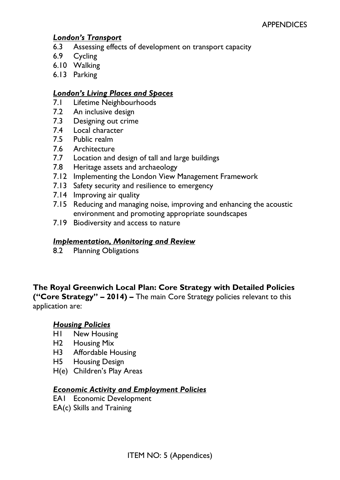## *London's Transport*

- 6.3 Assessing effects of development on transport capacity
- 6.9 Cycling
- 6.10 Walking
- 6.13 Parking

#### *London's Living Places and Spaces*

- 7.1 Lifetime Neighbourhoods
- 7.2 An inclusive design
- 7.3 Designing out crime
- 7.4 Local character
- 7.5 Public realm
- 7.6 Architecture
- 7.7 Location and design of tall and large buildings
- 7.8 Heritage assets and archaeology
- 7.12 Implementing the London View Management Framework
- 7.13 Safety security and resilience to emergency
- 7.14 Improving air quality
- 7.15 Reducing and managing noise, improving and enhancing the acoustic environment and promoting appropriate soundscapes
- 7.19 Biodiversity and access to nature

#### *Implementation, Monitoring and Review*

8.2 Planning Obligations

# **The Royal Greenwich Local Plan: Core Strategy with Detailed Policies**

**("Core Strategy" – 2014) –** The main Core Strategy policies relevant to this application are:

#### *Housing Policies*

- H1 New Housing
- H2 Housing Mix
- H3 Affordable Housing
- H5 Housing Design
- H(e) Children's Play Areas

#### *Economic Activity and Employment Policies*

- EA1 Economic Development
- EA(c) Skills and Training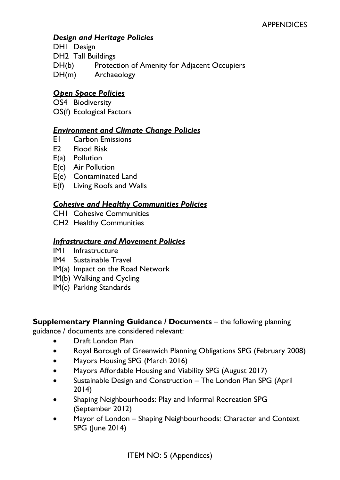## *Design and Heritage Policies*

DH1 Design

DH2 Tall Buildings

- DH(b) Protection of Amenity for Adjacent Occupiers
- DH(m) Archaeology

## *Open Space Policies*

OS4 Biodiversity

OS(f) Ecological Factors

#### *Environment and Climate Change Policies*

- E1 Carbon Emissions
- E2 Flood Risk
- E(a) Pollution
- E(c) Air Pollution
- E(e) Contaminated Land
- E(f) Living Roofs and Walls

## *Cohesive and Healthy Communities Policies*

- CH1 Cohesive Communities
- CH2 Healthy Communities

#### *Infrastructure and Movement Policies*

- IM1 Infrastructure
- IM4 Sustainable Travel
- IM(a) Impact on the Road Network
- IM(b) Walking and Cycling
- IM(c) Parking Standards

#### **Supplementary Planning Guidance / Documents** – the following planning

guidance / documents are considered relevant:

- Draft London Plan
- Royal Borough of Greenwich Planning Obligations SPG (February 2008)
- Mayors Housing SPG (March 2016)
- Mayors Affordable Housing and Viability SPG (August 2017)
- Sustainable Design and Construction The London Plan SPG (April 2014)
- Shaping Neighbourhoods: Play and Informal Recreation SPG (September 2012)
- Mayor of London Shaping Neighbourhoods: Character and Context SPG (June 2014)